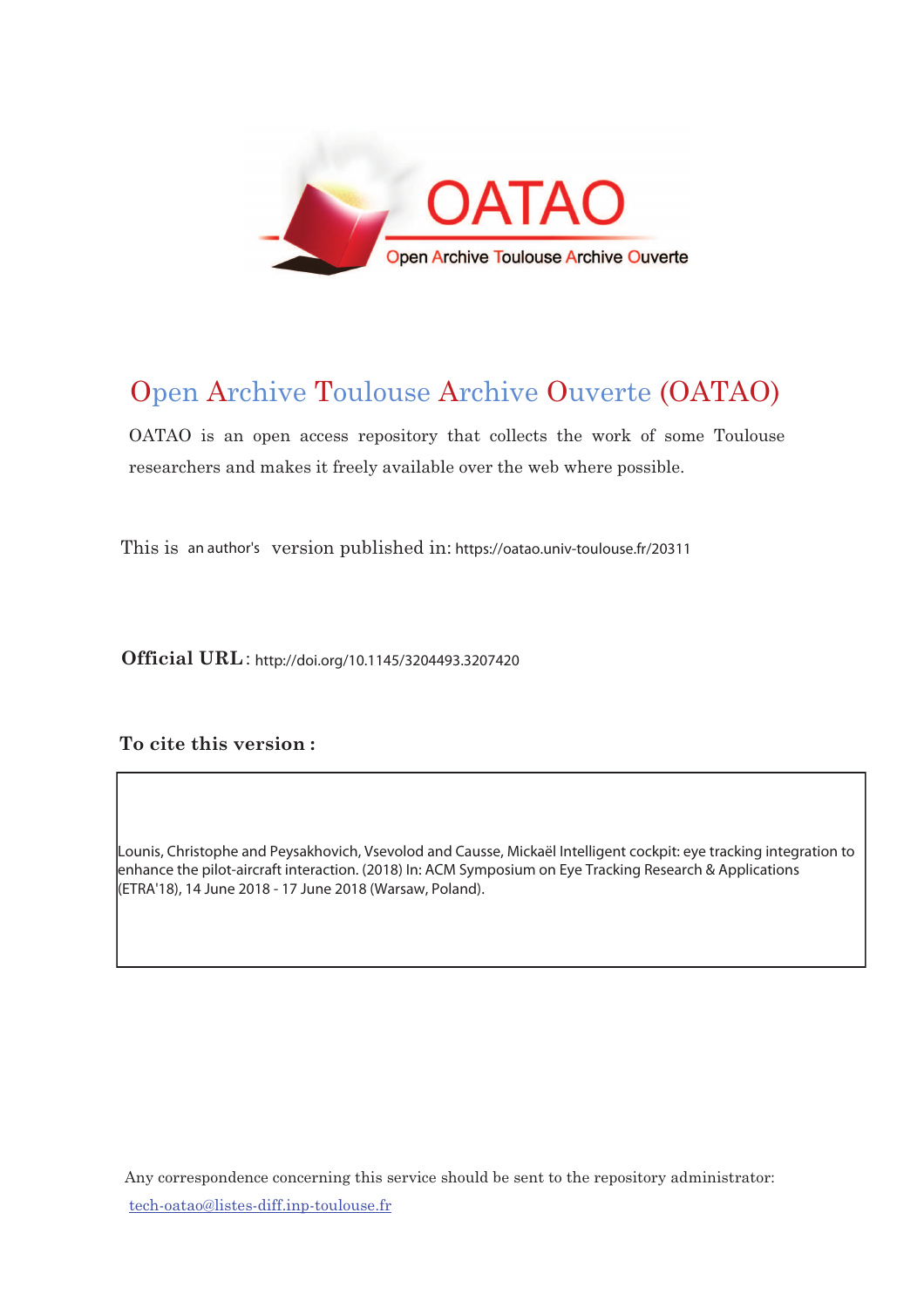

# Open Archive Toulouse Archive Ouverte (OATAO)

OATAO is an open access repository that collects the work of some Toulouse researchers and makes it freely available over the web where possible.

This is an author's version published in: https://oatao.univ-toulouse.fr/20311

Official URL: http://doi.org/10.1145/3204493.3207420

To cite this version :

Lounis, Christophe and Peysakhovich, Vsevolod and Causse, Mickaël Intelligent cockpit: eye tracking integration to enhance the pilot-aircraft interaction. (2018) In: ACM Symposium on Eye Tracking Research & Applications (ETRA'18), 14 June 2018 - 17 June 2018 (Warsaw, Poland).

Any correspondence concerning this service should be sent to the repository administrator: <u>tech-oatao@listes-diff.inp-toulouse.fr</u>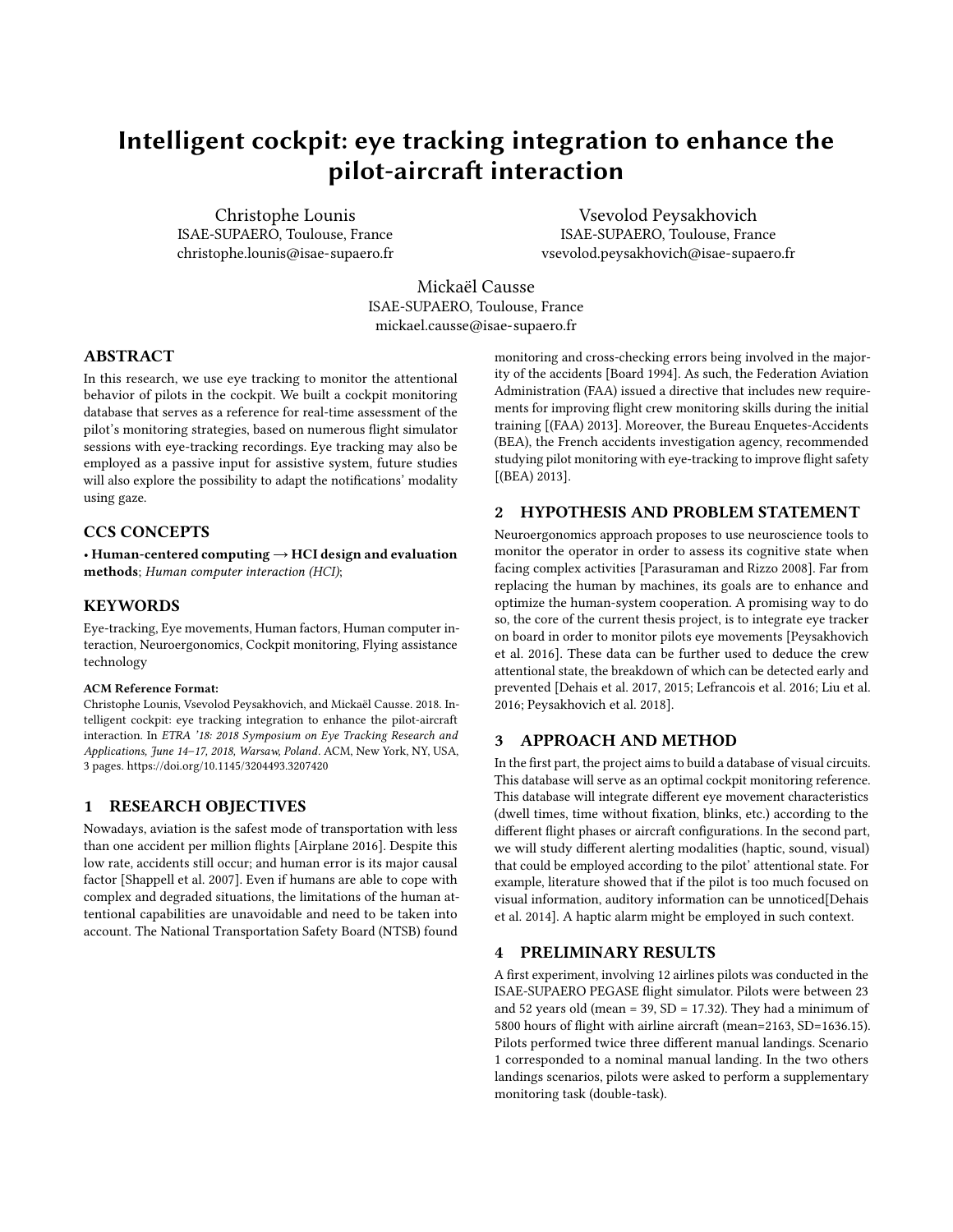## Intelligent cockpit: eye tracking integration to enhance the pilot-aircraft interaction

Christophe Lounis ISAE-SUPAERO, Toulouse, France christophe.lounis@isae-supaero.fr

Vsevolod Peysakhovich ISAE-SUPAERO, Toulouse, France vsevolod.peysakhovich@isae-supaero.fr

Mickaël Causse ISAE-SUPAERO, Toulouse, France mickael.causse@isae-supaero.fr

#### ABSTRACT

In this research, we use eye tracking to monitor the attentional behavior of pilots in the cockpit. We built a cockpit monitoring database that serves as a reference for real-time assessment of the pilot's monitoring strategies, based on numerous flight simulator sessions with eye-tracking recordings. Eye tracking may also be employed as a passive input for assistive system, future studies will also explore the possibility to adapt the notifications' modality using gaze.

#### CCS CONCEPTS

• Human-centered computing  $\rightarrow$  HCI design and evaluation methods; Human computer interaction (HCI);

#### **KEYWORDS**

Eye-tracking, Eye movements, Human factors, Human computer interaction, Neuroergonomics, Cockpit monitoring, Flying assistance technology

#### ACM Reference Format:

Christophe Lounis, Vsevolod Peysakhovich, and Mickaël Causse. 2018. Intelligent cockpit: eye tracking integration to enhance the pilot-aircraft interaction. In ETRA '18: 2018 Symposium on Eye Tracking Research and Applications, June 14–17, 2018, Warsaw, Poland. ACM, New York, NY, USA, [3](#page-3-0) pages.<https://doi.org/10.1145/3204493.3207420>

#### 1 RESEARCH OBJECTIVES

Nowadays, aviation is the safest mode of transportation with less than one accident per million flights [\[Airplane 2016\]](#page-2-0). Despite this low rate, accidents still occur; and human error is its major causal factor [\[Shappell et al.](#page-3-1) [2007\]](#page-3-1). Even if humans are able to cope with complex and degraded situations, the limitations of the human attentional capabilities are unavoidable and need to be taken into account. The National Transportation Safety Board (NTSB) found

monitoring and cross-checking errors being involved in the majority of the accidents [\[Board 1994\]](#page-2-1). As such, the Federation Aviation Administration (FAA) issued a directive that includes new requirements for improving flight crew monitoring skills during the initial training [\[\(FAA\) 2013\]](#page-3-2). Moreover, the Bureau Enquetes-Accidents (BEA), the French accidents investigation agency, recommended studying pilot monitoring with eye-tracking to improve flight safety [\[\(BEA\) 2013\]](#page-2-2).

### 2 HYPOTHESIS AND PROBLEM STATEMENT

Neuroergonomics approach proposes to use neuroscience tools to monitor the operator in order to assess its cognitive state when facing complex activities [\[Parasuraman and Rizzo 2008\]](#page-3-3). Far from replacing the human by machines, its goals are to enhance and optimize the human-system cooperation. A promising way to do so, the core of the current thesis project, is to integrate eye tracker on board in order to monitor pilots eye movements [\[Peysakhovich](#page-3-4) [et al.](#page-3-4) [2016\]](#page-3-4). These data can be further used to deduce the crew attentional state, the breakdown of which can be detected early and prevented [\[Dehais et al.](#page-2-3) [2017,](#page-2-3) [2015;](#page-3-5) [Lefrancois et al.](#page-3-6) [2016;](#page-3-6) [Liu et al.](#page-3-7) [2016;](#page-3-7) [Peysakhovich et al. 2018\]](#page-3-8).

#### 3 APPROACH AND METHOD

In the first part, the project aims to build a database of visual circuits. This database will serve as an optimal cockpit monitoring reference. This database will integrate different eye movement characteristics (dwell times, time without fixation, blinks, etc.) according to the different flight phases or aircraft configurations. In the second part, we will study different alerting modalities (haptic, sound, visual) that could be employed according to the pilot' attentional state. For example, literature showed that if the pilot is too much focused on visual information, auditory information can be unnoticed[\[Dehais](#page-2-4) [et al. 2014\]](#page-2-4). A haptic alarm might be employed in such context.

#### PRELIMINARY RESULTS

A first experiment, involving 12 airlines pilots was conducted in the ISAE-SUPAERO PEGASE flight simulator. Pilots were between 23 and 52 years old (mean = 39, SD = 17.32). They had a minimum of 5800 hours of flight with airline aircraft (mean=2163, SD=1636.15). Pilots performed twice three different manual landings. Scenario 1 corresponded to a nominal manual landing. In the two others landings scenarios, pilots were asked to perform a supplementary monitoring task (double-task).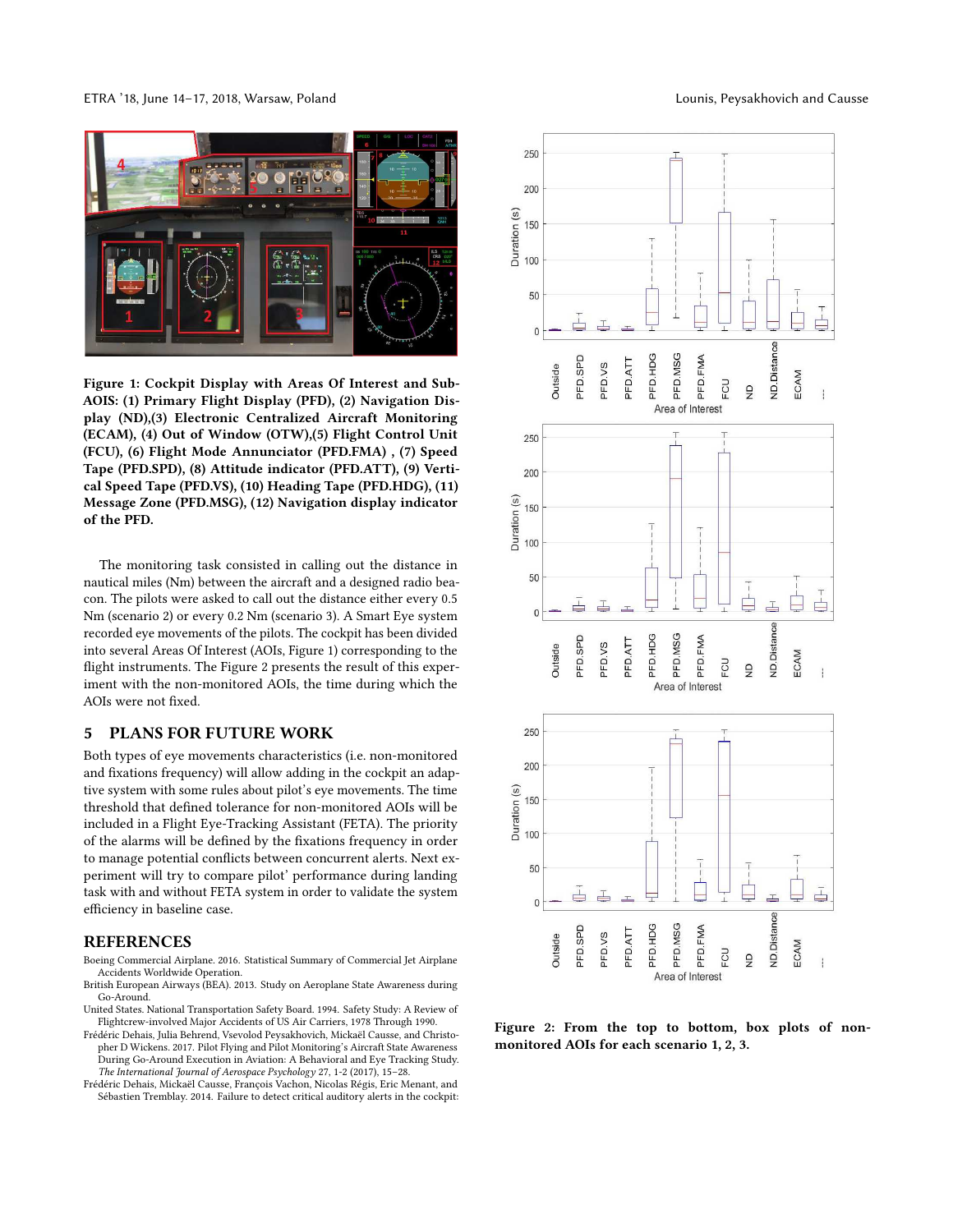ETRA '18, June 14–17, 2018, Warsaw, Poland Lounis, Peysakhovich and Causse



Figure 1: Cockpit Display with Areas Of Interest and Sub-AOIS: (1) Primary Flight Display (PFD), (2) Navigation Display (ND),(3) Electronic Centralized Aircraft Monitoring (ECAM), (4) Out of Window (OTW),(5) Flight Control Unit (FCU), (6) Flight Mode Annunciator (PFD.FMA) , (7) Speed Tape (PFD.SPD), (8) Attitude indicator (PFD.ATT), (9) Vertical Speed Tape (PFD.VS), (10) Heading Tape (PFD.HDG), (11) Message Zone (PFD.MSG), (12) Navigation display indicator of the PFD.

The monitoring task consisted in calling out the distance in nautical miles (Nm) between the aircraft and a designed radio beacon. The pilots were asked to call out the distance either every 0.5 Nm (scenario 2) or every 0.2 Nm (scenario 3). A Smart Eye system recorded eye movements of the pilots. The cockpit has been divided into several Areas Of Interest (AOIs, Figure 1) corresponding to the flight instruments. The Figure 2 presents the result of this experiment with the non-monitored AOIs, the time during which the AOIs were not fixed.

#### 5 PLANS FOR FUTURE WORK

Both types of eye movements characteristics (i.e. non-monitored and fixations frequency) will allow adding in the cockpit an adaptive system with some rules about pilot's eye movements. The time threshold that defined tolerance for non-monitored AOIs will be included in a Flight Eye-Tracking Assistant (FETA). The priority of the alarms will be defined by the fixations frequency in order to manage potential conflicts between concurrent alerts. Next experiment will try to compare pilot' performance during landing task with and without FETA system in order to validate the system efficiency in baseline case.

#### REFERENCES

- <span id="page-2-0"></span>Boeing Commercial Airplane. 2016. Statistical Summary of Commercial Jet Airplane Accidents Worldwide Operation.
- <span id="page-2-2"></span>British European Airways (BEA). 2013. Study on Aeroplane State Awareness during Go-Around.
- <span id="page-2-1"></span>United States. National Transportation Safety Board. 1994. Safety Study: A Review of Flightcrew-involved Major Accidents of US Air Carriers, 1978 Through 1990.
- <span id="page-2-3"></span>Frédéric Dehais, Julia Behrend, Vsevolod Peysakhovich, Mickaël Causse, and Christopher D Wickens. 2017. Pilot Flying and Pilot Monitoring's Aircraft State Awareness During Go-Around Execution in Aviation: A Behavioral and Eye Tracking Study. The International Journal of Aerospace Psychology 27, 1-2 (2017), 15–28.
- <span id="page-2-4"></span>Frédéric Dehais, Mickaël Causse, François Vachon, Nicolas Régis, Eric Menant, and Sébastien Tremblay. 2014. Failure to detect critical auditory alerts in the cockpit:



Figure 2: From the top to bottom, box plots of nonmonitored AOIs for each scenario 1, 2, 3.